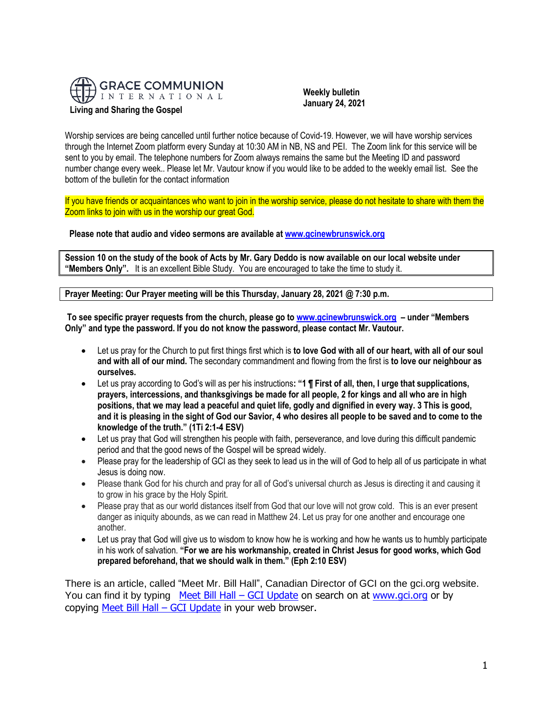

 **Weekly bulletin January 24, 2021**

Worship services are being cancelled until further notice because of Covid-19. However, we will have worship services through the Internet Zoom platform every Sunday at 10:30 AM in NB, NS and PEI. The Zoom link for this service will be sent to you by email. The telephone numbers for Zoom always remains the same but the Meeting ID and password number change every week.. Please let Mr. Vautour know if you would like to be added to the weekly email list. See the bottom of the bulletin for the contact information

If you have friends or acquaintances who want to join in the worship service, please do not hesitate to share with them the Zoom links to join with us in the worship our great God.

**Please note that audio and video sermons are available a[t www.gcinewbrunswick.org](http://www.gcinewbrunswick.org/)**

**Session 10 on the study of the book of Acts by Mr. Gary Deddo is now available on our local website under "Members Only".** It is an excellent Bible Study. You are encouraged to take the time to study it.

**Prayer Meeting: Our Prayer meeting will be this Thursday, January 28, 2021 @ 7:30 p.m.**

**To see specific prayer requests from the church, please go t[o www.gcinewbrunswick.org](http://www.gcinewbrunswick.org/) – under "Members Only" and type the password. If you do not know the password, please contact Mr. Vautour.**

- Let us pray for the Church to put first things first which is **to love God with all of our heart, with all of our soul and with all of our mind.** The secondary commandment and flowing from the first is **to love our neighbour as ourselves.**
- Let us pray according to God's will as per his instructions**: "1 ¶ First of all, then, I urge that supplications, prayers, intercessions, and thanksgivings be made for all people, 2 for kings and all who are in high positions, that we may lead a peaceful and quiet life, godly and dignified in every way. 3 This is good, and it is pleasing in the sight of God our Savior, 4 who desires all people to be saved and to come to the knowledge of the truth." (1Ti 2:1-4 ESV)**
- Let us pray that God will strengthen his people with faith, perseverance, and love during this difficult pandemic period and that the good news of the Gospel will be spread widely.
- Please pray for the leadership of GCI as they seek to lead us in the will of God to help all of us participate in what Jesus is doing now.
- Please thank God for his church and pray for all of God's universal church as Jesus is directing it and causing it to grow in his grace by the Holy Spirit.
- Please pray that as our world distances itself from God that our love will not grow cold. This is an ever present danger as iniquity abounds, as we can read in Matthew 24. Let us pray for one another and encourage one another.
- Let us pray that God will give us to wisdom to know how he is working and how he wants us to humbly participate in his work of salvation. **"For we are his workmanship, created in Christ Jesus for good works, which God prepared beforehand, that we should walk in them." (Eph 2:10 ESV)**

There is an article, called "Meet Mr. Bill Hall", Canadian Director of GCI on the gci.org website. You can find it by typing [Meet Bill Hall](https://update.gci.org/2021/01/meet-bill-hall/) – GCI Update on search on at www.qci.org or by copying [Meet Bill Hall](https://update.gci.org/2021/01/meet-bill-hall/) – GCI Update in your web browser.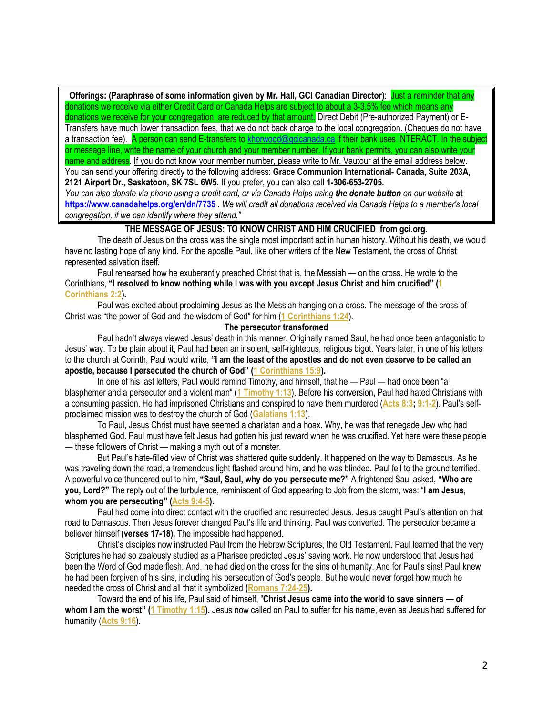**Offerings: (Paraphrase of some information given by Mr. Hall, GCI Canadian Director)**: Just a reminder that any donations we receive via either Credit Card or Canada Helps are subject to about a 3-3.5% fee which means any donations we receive for your congregation, are reduced by that amount. Direct Debit (Pre-authorized Payment) or E-Transfers have much lower transaction fees, that we do not back charge to the local congregation. (Cheques do not have a transaction fee). A person can send E-transfers to [khorwood@gcicanada.ca](mailto:khorwood@gcicanada.ca) if their bank uses INTERACT. In the subject or message line, write the name of your church and your member number. If your bank permits, you can also write your name and address. If you do not know your member number, please write to Mr. Vautour at the email address below. You can send your offering directly to the following address: **Grace Communion International- Canada, Suite 203A, 2121 Airport Dr., Saskatoon, SK 7SL 6W5.** If you prefer, you can also call **1-306-653-2705.** 

*You can also donate via phone using a credit card, or via Canada Helps using the donate button on our website* **at <https://www.canadahelps.org/en/dn/7735> .** *We will credit all donations received via Canada Helps to a member's local congregation, if we can identify where they attend."*

## **THE MESSAGE OF JESUS: TO KNOW CHRIST AND HIM CRUCIFIED from gci.org.**

The death of Jesus on the cross was the single most important act in human history. Without his death, we would have no lasting hope of any kind. For the apostle Paul, like other writers of the New Testament, the cross of Christ represented salvation itself.

Paul rehearsed how he exuberantly preached Christ that is, the Messiah — on the cross. He wrote to the Corinthians, **"I resolved to know nothing while I was with you except Jesus Christ and him crucified" ([1](https://biblia.com/bible/niv/1%20Cor%202.2)  [Corinthians 2:2\)](https://biblia.com/bible/niv/1%20Cor%202.2).**

Paul was excited about proclaiming Jesus as the Messiah hanging on a cross. The message of the cross of Christ was "the power of God and the wisdom of God" for him (**[1 Corinthians 1:24](https://biblia.com/bible/niv/1%20Cor%201.24)**).

# **The persecutor transformed**

Paul hadn't always viewed Jesus' death in this manner. Originally named Saul, he had once been antagonistic to Jesus' way. To be plain about it, Paul had been an insolent, self-righteous, religious bigot. Years later, in one of his letters to the church at Corinth, Paul would write, **"I am the least of the apostles and do not even deserve to be called an apostle, because I persecuted the church of God" ([1 Corinthians 15:9\)](https://biblia.com/bible/niv/1%20Cor%2015.9).**

In one of his last letters, Paul would remind Timothy, and himself, that he — Paul — had once been "a blasphemer and a persecutor and a violent man" (1 **[Timothy 1:13](https://biblia.com/bible/niv/1%20Tim%201.13)**). Before his conversion, Paul had hated Christians with a consuming passion. He had imprisoned Christians and conspired to have them murdered (**[Acts 8:3;](https://biblia.com/bible/niv/Acts%208.3) [9:1-2](https://biblia.com/bible/niv/Acts%209.1-2)**). Paul's selfproclaimed mission was to destroy the church of God (**[Galatians 1:13](https://biblia.com/bible/niv/Gal%201.13)**).

To Paul, Jesus Christ must have seemed a charlatan and a hoax. Why, he was that renegade Jew who had blasphemed God. Paul must have felt Jesus had gotten his just reward when he was crucified. Yet here were these people — these followers of Christ — making a myth out of a monster.

But Paul's hate-filled view of Christ was shattered quite suddenly. It happened on the way to Damascus. As he was traveling down the road, a tremendous light flashed around him, and he was blinded. Paul fell to the ground terrified. A powerful voice thundered out to him, **"Saul, Saul, why do you persecute me?"** A frightened Saul asked, **"Who are you, Lord?"** The reply out of the turbulence, reminiscent of God appearing to Job from the storm, was: "**I am Jesus, whom you are persecuting" ([Acts 9:4-5\)](https://biblia.com/bible/niv/Acts%209.4-5).**

Paul had come into direct contact with the crucified and resurrected Jesus. Jesus caught Paul's attention on that road to Damascus. Then Jesus forever changed Paul's life and thinking. Paul was converted. The persecutor became a believer himself **(verses 17-18).** The impossible had happened.

Christ's disciples now instructed Paul from the Hebrew Scriptures, the Old Testament. Paul learned that the very Scriptures he had so zealously studied as a Pharisee predicted Jesus' saving work. He now understood that Jesus had been the Word of God made flesh. And, he had died on the cross for the sins of humanity. And for Paul's sins! Paul knew he had been forgiven of his sins, including his persecution of God's people. But he would never forget how much he needed the cross of Christ and all that it symbolized **[\(Romans 7:24-25\)](https://biblia.com/bible/niv/Rom%207.24-25).**

Toward the end of his life, Paul said of himself, "**Christ Jesus came into the world to save sinners — of whom I am the worst" ([1 Timothy 1:15\)](https://biblia.com/bible/niv/1%20Tim%201.15).** Jesus now called on Paul to suffer for his name, even as Jesus had suffered for humanity (**[Acts 9:16](https://biblia.com/bible/niv/Acts%209.16)**).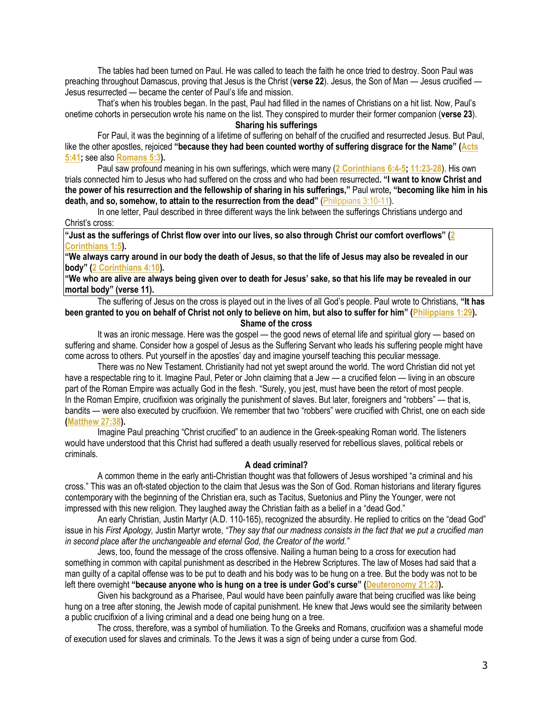The tables had been turned on Paul. He was called to teach the faith he once tried to destroy. Soon Paul was preaching throughout Damascus, proving that Jesus is the Christ (**verse 22**). Jesus, the Son of Man — Jesus crucified — Jesus resurrected — became the center of Paul's life and mission.

That's when his troubles began. In the past, Paul had filled in the names of Christians on a hit list. Now, Paul's onetime cohorts in persecution wrote his name on the list. They conspired to murder their former companion (**verse 23**). **Sharing his sufferings**

For Paul, it was the beginning of a lifetime of suffering on behalf of the crucified and resurrected Jesus. But Paul, like the other apostles, rejoiced **"because they had been counted worthy of suffering disgrace for the Name" ([Acts](https://biblia.com/bible/niv/Acts%205.41)  [5:41;](https://biblia.com/bible/niv/Acts%205.41)** see also **[Romans 5:3\)](https://biblia.com/bible/niv/Rom%205.3).**

Paul saw profound meaning in his own sufferings, which were many (**[2 Corinthians 6:4-5;](https://biblia.com/bible/niv/2%20Cor%206.4-5) [11:23-28](https://biblia.com/bible/niv/2%20Corinthians%2011.23-28)**). His own trials connected him to Jesus who had suffered on the cross and who had been resurrected**. "I want to know Christ and the power of his resurrection and the fellowship of sharing in his sufferings,"** Paul wrote**, "becoming like him in his death, and so, somehow, to attain to the resurrection from the dead"** [\(Philippians 3:10-11\)](https://biblia.com/bible/niv/Phil%203.10-11).

In one letter, Paul described in three different ways the link between the sufferings Christians undergo and Christ's cross:

**"Just as the sufferings of Christ flow over into our lives, so also through Christ our comfort overflows" ([2](https://biblia.com/bible/niv/2%20Cor%201.5)  [Corinthians 1:5\)](https://biblia.com/bible/niv/2%20Cor%201.5).**

**"We always carry around in our body the death of Jesus, so that the life of Jesus may also be revealed in our body" ([2 Corinthians 4:10\)](https://biblia.com/bible/niv/2%20Cor%204.10).**

**"We who are alive are always being given over to death for Jesus' sake, so that his life may be revealed in our mortal body" (verse 11).**

The suffering of Jesus on the cross is played out in the lives of all God's people. Paul wrote to Christians, **"It has been granted to you on behalf of Christ not only to believe on him, but also to suffer for him" ([Philippians 1:29\)](https://biblia.com/bible/niv/Phil%201.29). Shame of the cross**

It was an ironic message. Here was the gospel — the good news of eternal life and spiritual glory — based on suffering and shame. Consider how a gospel of Jesus as the Suffering Servant who leads his suffering people might have come across to others. Put yourself in the apostles' day and imagine yourself teaching this peculiar message.

There was no New Testament. Christianity had not yet swept around the world. The word Christian did not yet have a respectable ring to it. Imagine Paul, Peter or John claiming that a Jew — a crucified felon — living in an obscure part of the Roman Empire was actually God in the flesh. "Surely, you jest, must have been the retort of most people. In the Roman Empire, crucifixion was originally the punishment of slaves. But later, foreigners and "robbers" — that is, bandits — were also executed by crucifixion. We remember that two "robbers" were crucified with Christ, one on each side **[\(Matthew 27:38\)](https://biblia.com/bible/niv/Matt%2027.38).**

Imagine Paul preaching "Christ crucified" to an audience in the Greek-speaking Roman world. The listeners would have understood that this Christ had suffered a death usually reserved for rebellious slaves, political rebels or criminals.

#### **A dead criminal?**

A common theme in the early anti-Christian thought was that followers of Jesus worshiped "a criminal and his cross." This was an oft-stated objection to the claim that Jesus was the Son of God. Roman historians and literary figures contemporary with the beginning of the Christian era, such as Tacitus, Suetonius and Pliny the Younger, were not impressed with this new religion. They laughed away the Christian faith as a belief in a "dead God."

An early Christian, Justin Martyr (A.D. 110-165), recognized the absurdity. He replied to critics on the "dead God" issue in his First Apology, Justin Martyr wrote, "They say that our madness consists in the fact that we put a crucified man *in second place after the unchangeable and eternal God, the Creator of the world."*

Jews, too, found the message of the cross offensive. Nailing a human being to a cross for execution had something in common with capital punishment as described in the Hebrew Scriptures. The law of Moses had said that a man guilty of a capital offense was to be put to death and his body was to be hung on a tree. But the body was not to be left there overnight **"because anyone who is hung on a tree is under God's curse" ([Deuteronomy 21:23\)](https://biblia.com/bible/niv/Deut%2021.23).**

Given his background as a Pharisee, Paul would have been painfully aware that being crucified was like being hung on a tree after stoning, the Jewish mode of capital punishment. He knew that Jews would see the similarity between a public crucifixion of a living criminal and a dead one being hung on a tree.

The cross, therefore, was a symbol of humiliation. To the Greeks and Romans, crucifixion was a shameful mode of execution used for slaves and criminals. To the Jews it was a sign of being under a curse from God.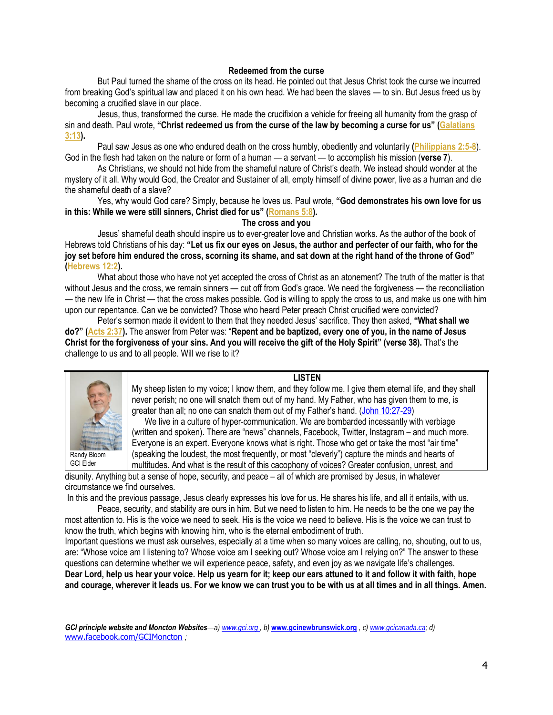### **Redeemed from the curse**

But Paul turned the shame of the cross on its head. He pointed out that Jesus Christ took the curse we incurred from breaking God's spiritual law and placed it on his own head. We had been the slaves — to sin. But Jesus freed us by becoming a crucified slave in our place.

Jesus, thus, transformed the curse. He made the crucifixion a vehicle for freeing all humanity from the grasp of sin and death. Paul wrote, **"Christ redeemed us from the curse of the law by becoming a curse for us" ([Galatians](https://biblia.com/bible/niv/Gal%203.13)  [3:13\)](https://biblia.com/bible/niv/Gal%203.13).**

Paul saw Jesus as one who endured death on the cross humbly, obediently and voluntarily **[\(Philippians 2:5-8](https://biblia.com/bible/niv/Phil%202.5-8)**). God in the flesh had taken on the nature or form of a human — a servant — to accomplish his mission (**verse 7**).

As Christians, we should not hide from the shameful nature of Christ's death. We instead should wonder at the mystery of it all. Why would God, the Creator and Sustainer of all, empty himself of divine power, live as a human and die the shameful death of a slave?

Yes, why would God care? Simply, because he loves us. Paul wrote, **"God demonstrates his own love for us in this: While we were still sinners, Christ died for us" ([Romans 5:8\)](https://biblia.com/bible/niv/Rom%205.8).**

## **The cross and you**

Jesus' shameful death should inspire us to ever-greater love and Christian works. As the author of the book of Hebrews told Christians of his day: **"Let us fix our eyes on Jesus, the author and perfecter of our faith, who for the joy set before him endured the cross, scorning its shame, and sat down at the right hand of the throne of God" [\(Hebrews 12:2\)](https://biblia.com/bible/niv/Heb%2012.2).**

What about those who have not yet accepted the cross of Christ as an atonement? The truth of the matter is that without Jesus and the cross, we remain sinners — cut off from God's grace. We need the forgiveness — the reconciliation — the new life in Christ — that the cross makes possible. God is willing to apply the cross to us, and make us one with him upon our repentance. Can we be convicted? Those who heard Peter preach Christ crucified were convicted?

Peter's sermon made it evident to them that they needed Jesus' sacrifice. They then asked, **"What shall we do?" [\(Acts 2:37\)](https://biblia.com/bible/niv/Acts%202.37).** The answer from Peter was: "**Repent and be baptized, every one of you, in the name of Jesus Christ for the forgiveness of your sins. And you will receive the gift of the Holy Spirit" (verse 38).** That's the challenge to us and to all people. Will we rise to it?



## **LISTEN**

My sheep listen to my voice; I know them, and they follow me. I give them eternal life, and they shall never perish; no one will snatch them out of my hand. My Father, who has given them to me, is greater than all; no one can snatch them out of my Father's hand. [\(John 10:27-29\)](https://biblia.com/bible/niv/John%2010.27-29)

 We live in a culture of hyper-communication. We are bombarded incessantly with verbiage (written and spoken). There are "news" channels, Facebook, Twitter, Instagram – and much more. Everyone is an expert. Everyone knows what is right. Those who get or take the most "air time" (speaking the loudest, the most frequently, or most "cleverly") capture the minds and hearts of multitudes. And what is the result of this cacophony of voices? Greater confusion, unrest, and

disunity. Anything but a sense of hope, security, and peace – all of which are promised by Jesus, in whatever circumstance we find ourselves.

In this and the previous passage, Jesus clearly expresses his love for us. He shares his life, and all it entails, with us.

Peace, security, and stability are ours in him. But we need to listen to him. He needs to be the one we pay the most attention to. His is the voice we need to seek. His is the voice we need to believe. His is the voice we can trust to know the truth, which begins with knowing him, who is the eternal embodiment of truth.

Important questions we must ask ourselves, especially at a time when so many voices are calling, no, shouting, out to us, are: "Whose voice am I listening to? Whose voice am I seeking out? Whose voice am I relying on?" The answer to these questions can determine whether we will experience peace, safety, and even joy as we navigate life's challenges. **Dear Lord, help us hear your voice. Help us yearn for it; keep our ears attuned to it and follow it with faith, hope and courage, wherever it leads us. For we know we can trust you to be with us at all times and in all things. Amen.**

*GCI principle website and Moncton Websites—a) www.gci.org , b)* **[www.gcinewbrunswick.org](http://www.gcinewbrunswick.org/)** *, c) [www.gcicanada.ca;](http://www.gcicanada.ca/) d)* [www.facebook.com/GCIMoncton](http://www.facebook.com/GCIMoncton) *;*